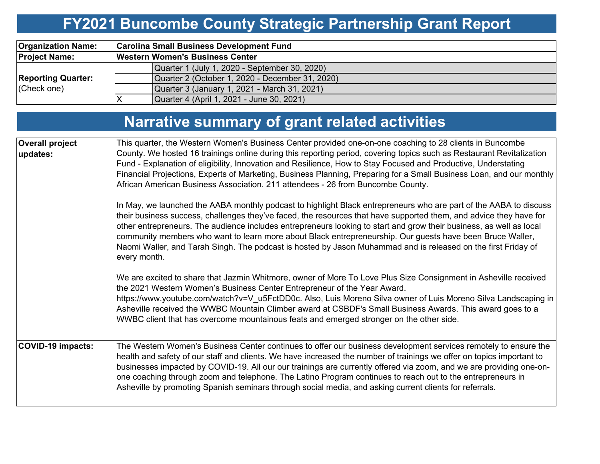# **FY2021 Buncombe County Strategic Partnership Grant Report**

| <b>Organization Name:</b>                | <b>Carolina Small Business Development Fund</b> |  |  |  |  |  |  |  |  |  |
|------------------------------------------|-------------------------------------------------|--|--|--|--|--|--|--|--|--|
| <b>Project Name:</b>                     | <b>Western Women's Business Center</b>          |  |  |  |  |  |  |  |  |  |
|                                          | Quarter 1 (July 1, 2020 - September 30, 2020)   |  |  |  |  |  |  |  |  |  |
| <b>Reporting Quarter:</b><br>(Check one) | Quarter 2 (October 1, 2020 - December 31, 2020) |  |  |  |  |  |  |  |  |  |
|                                          | Quarter 3 (January 1, 2021 - March 31, 2021)    |  |  |  |  |  |  |  |  |  |
|                                          | Quarter 4 (April 1, 2021 - June 30, 2021)       |  |  |  |  |  |  |  |  |  |

|                             | Narrative summary of grant related activities                                                                                                                                                                                                                                                                                                                                                                                                                                                                                                                                                                |  |  |  |  |  |  |
|-----------------------------|--------------------------------------------------------------------------------------------------------------------------------------------------------------------------------------------------------------------------------------------------------------------------------------------------------------------------------------------------------------------------------------------------------------------------------------------------------------------------------------------------------------------------------------------------------------------------------------------------------------|--|--|--|--|--|--|
| Overall project<br>updates: | This quarter, the Western Women's Business Center provided one-on-one coaching to 28 clients in Buncombe<br>County. We hosted 16 trainings online during this reporting period, covering topics such as Restaurant Revitalization<br>Fund - Explanation of eligibility, Innovation and Resilience, How to Stay Focused and Productive, Understating<br>Financial Projections, Experts of Marketing, Business Planning, Preparing for a Small Business Loan, and our monthly<br>African American Business Association. 211 attendees - 26 from Buncombe County.                                               |  |  |  |  |  |  |
|                             | In May, we launched the AABA monthly podcast to highlight Black entrepreneurs who are part of the AABA to discuss<br>their business success, challenges they've faced, the resources that have supported them, and advice they have for<br>other entrepreneurs. The audience includes entrepreneurs looking to start and grow their business, as well as local<br>community members who want to learn more about Black entrepreneurship. Our guests have been Bruce Waller,<br>Naomi Waller, and Tarah Singh. The podcast is hosted by Jason Muhammad and is released on the first Friday of<br>every month. |  |  |  |  |  |  |
|                             | We are excited to share that Jazmin Whitmore, owner of More To Love Plus Size Consignment in Asheville received<br>the 2021 Western Women's Business Center Entrepreneur of the Year Award.<br>https://www.youtube.com/watch?v=V_u5FctDD0c. Also, Luis Moreno Silva owner of Luis Moreno Silva Landscaping in<br>Asheville received the WWBC Mountain Climber award at CSBDF's Small Business Awards. This award goes to a<br>WWBC client that has overcome mountainous feats and emerged stronger on the other side.                                                                                        |  |  |  |  |  |  |
| COVID-19 impacts:           | The Western Women's Business Center continues to offer our business development services remotely to ensure the<br>health and safety of our staff and clients. We have increased the number of trainings we offer on topics important to<br>businesses impacted by COVID-19. All our our trainings are currently offered via zoom, and we are providing one-on-<br>one coaching through zoom and telephone. The Latino Program continues to reach out to the entrepreneurs in<br>Asheville by promoting Spanish seminars through social media, and asking current clients for referrals.                     |  |  |  |  |  |  |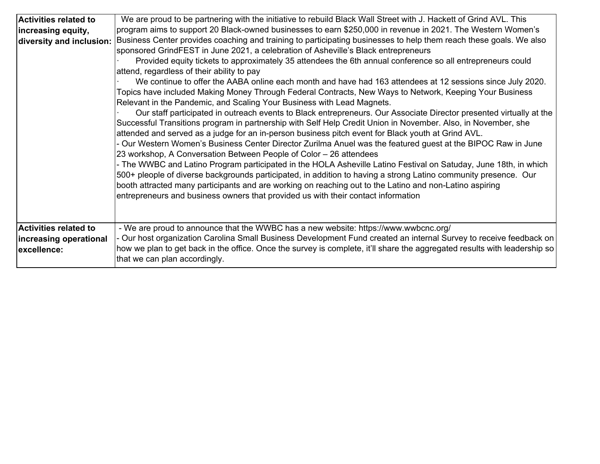| <b>Activities related to</b>                                          | We are proud to be partnering with the initiative to rebuild Black Wall Street with J. Hackett of Grind AVL. This                                                                                                                                                                                                                                                                                                                                                                                                                                                                                                                                                                                                                                                                                                                                                                                                                                                                                                                                                                                                                                                                                                                                                                                                                                                                                                                                                                                                                                                                                                                                  |
|-----------------------------------------------------------------------|----------------------------------------------------------------------------------------------------------------------------------------------------------------------------------------------------------------------------------------------------------------------------------------------------------------------------------------------------------------------------------------------------------------------------------------------------------------------------------------------------------------------------------------------------------------------------------------------------------------------------------------------------------------------------------------------------------------------------------------------------------------------------------------------------------------------------------------------------------------------------------------------------------------------------------------------------------------------------------------------------------------------------------------------------------------------------------------------------------------------------------------------------------------------------------------------------------------------------------------------------------------------------------------------------------------------------------------------------------------------------------------------------------------------------------------------------------------------------------------------------------------------------------------------------------------------------------------------------------------------------------------------------|
| increasing equity,                                                    | program aims to support 20 Black-owned businesses to earn \$250,000 in revenue in 2021. The Western Women's                                                                                                                                                                                                                                                                                                                                                                                                                                                                                                                                                                                                                                                                                                                                                                                                                                                                                                                                                                                                                                                                                                                                                                                                                                                                                                                                                                                                                                                                                                                                        |
| diversity and inclusion:                                              | Business Center provides coaching and training to participating businesses to help them reach these goals. We also<br>sponsored GrindFEST in June 2021, a celebration of Asheville's Black entrepreneurs<br>Provided equity tickets to approximately 35 attendees the 6th annual conference so all entrepreneurs could<br>attend, regardless of their ability to pay<br>We continue to offer the AABA online each month and have had 163 attendees at 12 sessions since July 2020.<br>Topics have included Making Money Through Federal Contracts, New Ways to Network, Keeping Your Business<br>Relevant in the Pandemic, and Scaling Your Business with Lead Magnets.<br>Our staff participated in outreach events to Black entrepreneurs. Our Associate Director presented virtually at the<br>Successful Transitions program in partnership with Self Help Credit Union in November. Also, in November, she<br>attended and served as a judge for an in-person business pitch event for Black youth at Grind AVL.<br>- Our Western Women's Business Center Director Zurilma Anuel was the featured guest at the BIPOC Raw in June<br>23 workshop, A Conversation Between People of Color - 26 attendees<br>- The WWBC and Latino Program participated in the HOLA Asheville Latino Festival on Satuday, June 18th, in which<br>500+ pleople of diverse backgrounds participated, in addition to having a strong Latino community presence. Our<br>booth attracted many participants and are working on reaching out to the Latino and non-Latino aspiring<br>entrepreneurs and business owners that provided us with their contact information |
| <b>Activities related to</b><br>increasing operational<br>excellence: | - We are proud to announce that the WWBC has a new website: https://www.wwbcnc.org/<br>- Our host organization Carolina Small Business Development Fund created an internal Survey to receive feedback on<br>how we plan to get back in the office. Once the survey is complete, it'll share the aggregated results with leadership so<br>that we can plan accordingly.                                                                                                                                                                                                                                                                                                                                                                                                                                                                                                                                                                                                                                                                                                                                                                                                                                                                                                                                                                                                                                                                                                                                                                                                                                                                            |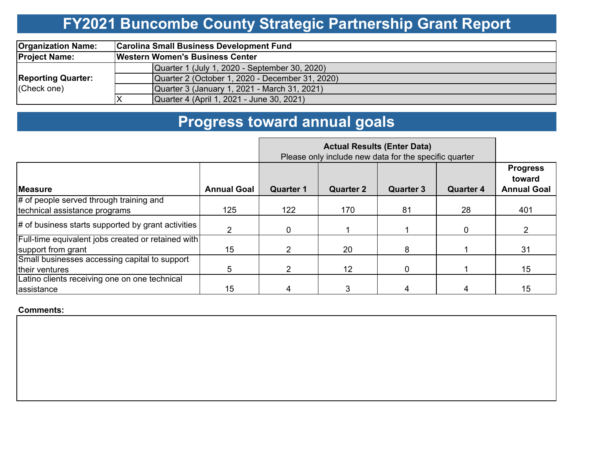## **FY2021 Buncombe County Strategic Partnership Grant Report**

| <b>Organization Name:</b>                | <b>Carolina Small Business Development Fund</b> |  |  |  |  |  |  |  |  |  |
|------------------------------------------|-------------------------------------------------|--|--|--|--|--|--|--|--|--|
| <b>Project Name:</b>                     | <b>Western Women's Business Center</b>          |  |  |  |  |  |  |  |  |  |
| <b>Reporting Quarter:</b><br>(Check one) | Quarter 1 (July 1, 2020 - September 30, 2020)   |  |  |  |  |  |  |  |  |  |
|                                          | Quarter 2 (October 1, 2020 - December 31, 2020) |  |  |  |  |  |  |  |  |  |
|                                          | Quarter 3 (January 1, 2021 - March 31, 2021)    |  |  |  |  |  |  |  |  |  |
|                                          | Quarter 4 (April 1, 2021 - June 30, 2021)       |  |  |  |  |  |  |  |  |  |

## **Progress toward annual goals**

|                                                    |                    | Please only include new data for the specific quarter |                  |                  |                  |                                                 |
|----------------------------------------------------|--------------------|-------------------------------------------------------|------------------|------------------|------------------|-------------------------------------------------|
| <b>Measure</b>                                     | <b>Annual Goal</b> | <b>Quarter 1</b>                                      | <b>Quarter 2</b> | <b>Quarter 3</b> | <b>Quarter 4</b> | <b>Progress</b><br>toward<br><b>Annual Goal</b> |
| # of people served through training and            |                    |                                                       |                  |                  |                  |                                                 |
| technical assistance programs                      | 125                | 122                                                   | 170              | 81               | 28               | 401                                             |
| # of business starts supported by grant activities |                    | 0                                                     |                  |                  | 0                |                                                 |
| Full-time equivalent jobs created or retained with |                    |                                                       |                  |                  |                  |                                                 |
| support from grant                                 | 15                 |                                                       | 20               | 8                |                  | 31                                              |
| Small businesses accessing capital to support      |                    |                                                       |                  |                  |                  |                                                 |
| their ventures                                     | 5                  |                                                       | 12 <sup>2</sup>  | 0                |                  | 15                                              |
| Latino clients receiving one on one technical      |                    |                                                       |                  |                  |                  |                                                 |
| assistance                                         | 15                 |                                                       | 3                |                  | 4                | 15                                              |

#### **Comments:**